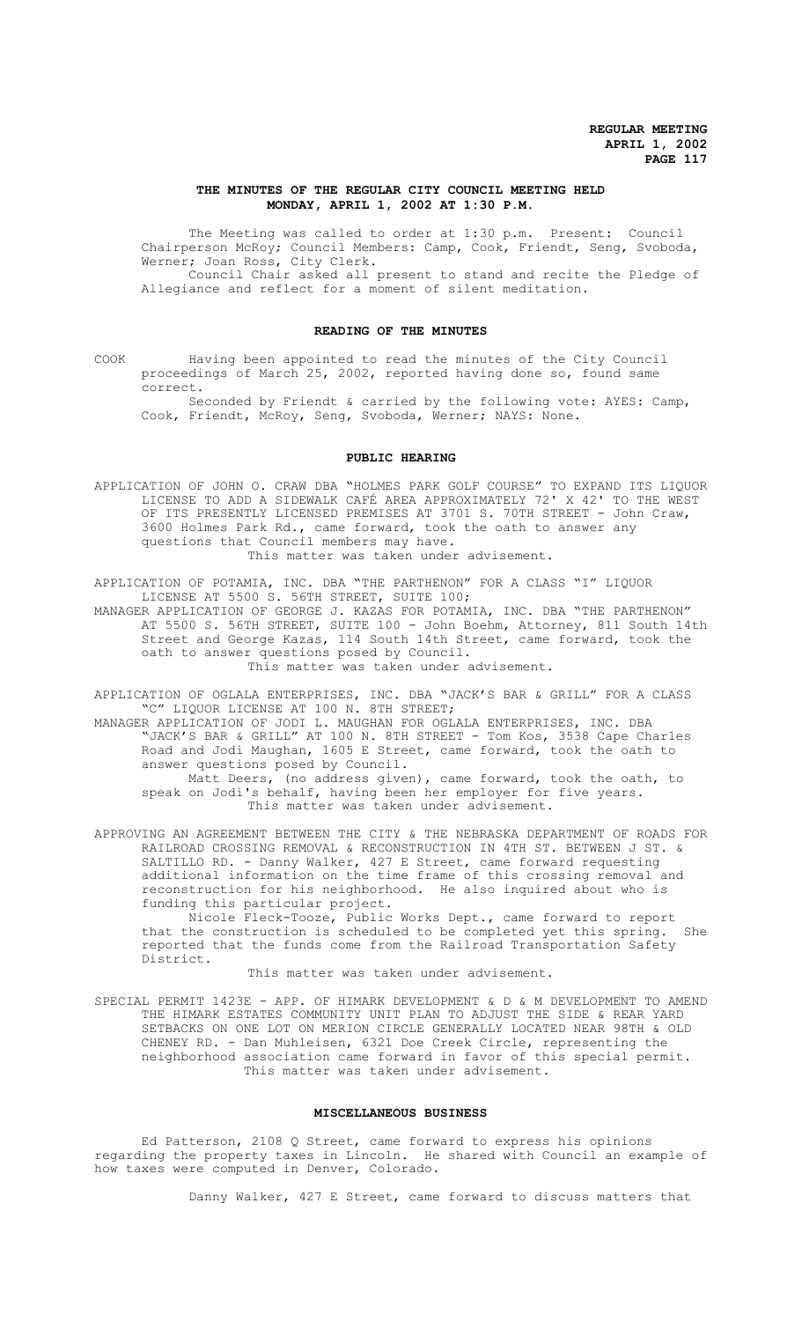### **THE MINUTES OF THE REGULAR CITY COUNCIL MEETING HELD MONDAY, APRIL 1, 2002 AT 1:30 P.M.**

The Meeting was called to order at 1:30 p.m. Present: Council Chairperson McRoy; Council Members: Camp, Cook, Friendt, Seng, Svoboda, Werner; Joan Ross, City Clerk. Council Chair asked all present to stand and recite the Pledge of

Allegiance and reflect for a moment of silent meditation.

## **READING OF THE MINUTES**

COOK Having been appointed to read the minutes of the City Council proceedings of March 25, 2002, reported having done so, found same correct.

Seconded by Friendt & carried by the following vote: AYES: Camp, Cook, Friendt, McRoy, Seng, Svoboda, Werner; NAYS: None.

#### **PUBLIC HEARING**

APPLICATION OF JOHN O. CRAW DBA "HOLMES PARK GOLF COURSE" TO EXPAND ITS LIQUOR LICENSE TO ADD A SIDEWALK CAFÉ AREA APPROXIMATELY 72' X 42' TO THE WEST OF ITS PRESENTLY LICENSED PREMISES AT 3701 S. 70TH STREET - John Craw, 3600 Holmes Park Rd., came forward, took the oath to answer any questions that Council members may have. This matter was taken under advisement.

APPLICATION OF POTAMIA, INC. DBA "THE PARTHENON" FOR A CLASS "I" LIQUOR LICENSE AT 5500 S. 56TH STREET, SUITE 100;

MANAGER APPLICATION OF GEORGE J. KAZAS FOR POTAMIA, INC. DBA "THE PARTHENON" AT 5500 S. 56TH STREET, SUITE 100 - John Boehm, Attorney, 811 South 14th Street and George Kazas, 114 South 14th Street, came forward, took the oath to answer questions posed by Council. This matter was taken under advisement.

APPLICATION OF OGLALA ENTERPRISES, INC. DBA "JACK'S BAR & GRILL" FOR A CLASS "C" LIQUOR LICENSE AT 100 N. 8TH STREET;

MANAGER APPLICATION OF JODI L. MAUGHAN FOR OGLALA ENTERPRISES, INC. DBA "JACK'S BAR & GRILL" AT 100 N. 8TH STREET - Tom Kos, 3538 Cape Charles Road and Jodi Maughan, 1605 E Street, came forward, took the oath to answer questions posed by Council.

Matt Deers, (no address given), came forward, took the oath, to speak on Jodi's behalf, having been her employer for five years. This matter was taken under advisement.

APPROVING AN AGREEMENT BETWEEN THE CITY & THE NEBRASKA DEPARTMENT OF ROADS FOR RAILROAD CROSSING REMOVAL & RECONSTRUCTION IN 4TH ST. BETWEEN J ST. & SALTILLO RD. - Danny Walker, 427 E Street, came forward requesting additional information on the time frame of this crossing removal and reconstruction for his neighborhood. He also inquired about who is funding this particular project.

Nicole Fleck-Tooze, Public Works Dept., came forward to report that the construction is scheduled to be completed yet this spring. She reported that the funds come from the Railroad Transportation Safety District.

This matter was taken under advisement.

SPECIAL PERMIT 1423E - APP. OF HIMARK DEVELOPMENT & D & M DEVELOPMENT TO AMEND THE HIMARK ESTATES COMMUNITY UNIT PLAN TO ADJUST THE SIDE & REAR YARD SETBACKS ON ONE LOT ON MERION CIRCLE GENERALLY LOCATED NEAR 98TH & OLD CHENEY RD. - Dan Muhleisen, 6321 Doe Creek Circle, representing the neighborhood association came forward in favor of this special permit. This matter was taken under advisement.

#### **MISCELLANEOUS BUSINESS**

Ed Patterson, 2108 Q Street, came forward to express his opinions regarding the property taxes in Lincoln. He shared with Council an example of how taxes were computed in Denver, Colorado.

Danny Walker, 427 E Street, came forward to discuss matters that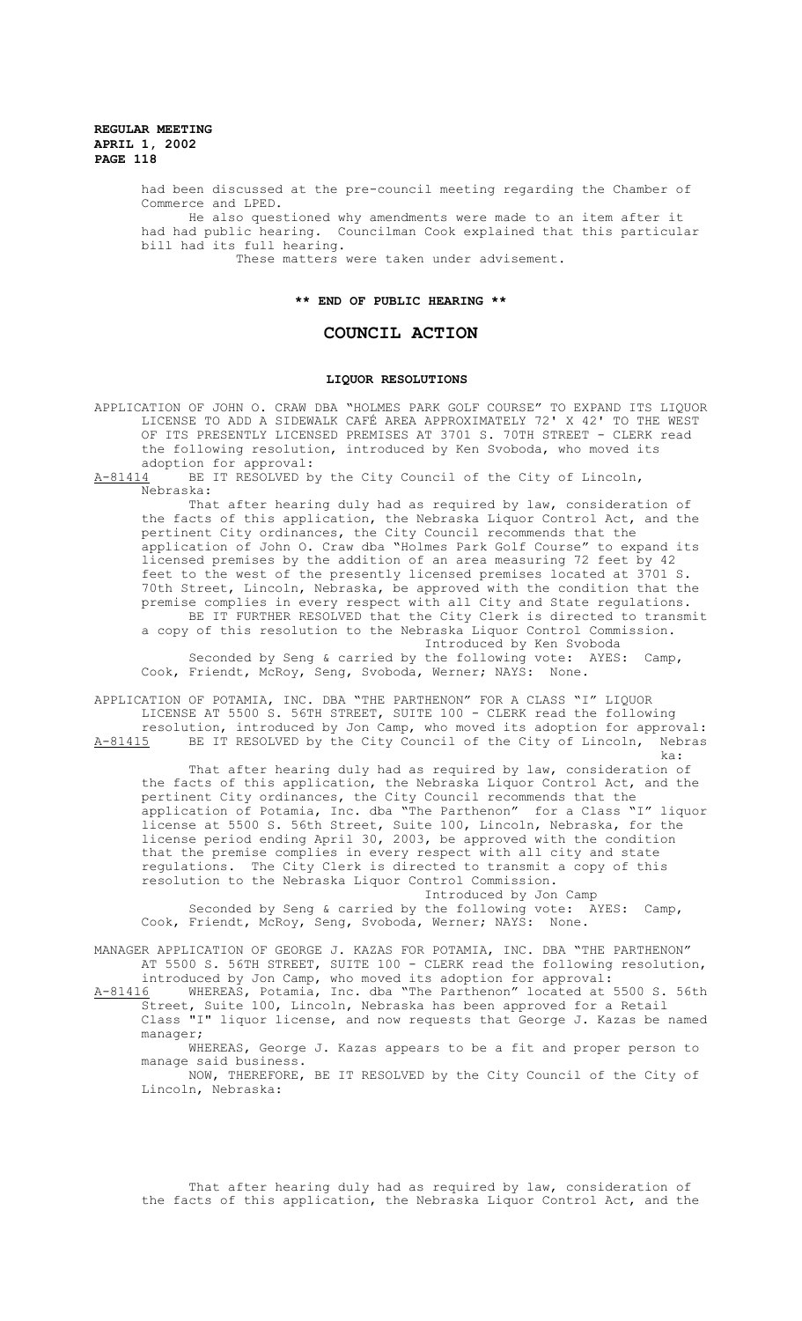> had been discussed at the pre-council meeting regarding the Chamber of Commerce and LPED. He also questioned why amendments were made to an item after it had had public hearing. Councilman Cook explained that this particular bill had its full hearing.

These matters were taken under advisement.

#### **\*\* END OF PUBLIC HEARING \*\***

## **COUNCIL ACTION**

#### **LIQUOR RESOLUTIONS**

APPLICATION OF JOHN O. CRAW DBA "HOLMES PARK GOLF COURSE" TO EXPAND ITS LIQUOR LICENSE TO ADD A SIDEWALK CAFÉ AREA APPROXIMATELY 72' X 42' TO THE WEST OF ITS PRESENTLY LICENSED PREMISES AT 3701 S. 70TH STREET - CLERK read the following resolution, introduced by Ken Svoboda, who moved its adoption for approval:<br>A-81414 BE IT RESOLVED b

BE IT RESOLVED by the City Council of the City of Lincoln, Nebraska:

That after hearing duly had as required by law, consideration of the facts of this application, the Nebraska Liquor Control Act, and the pertinent City ordinances, the City Council recommends that the application of John O. Craw dba "Holmes Park Golf Course" to expand its licensed premises by the addition of an area measuring 72 feet by 42 feet to the west of the presently licensed premises located at 3701 S. 70th Street, Lincoln, Nebraska, be approved with the condition that the premise complies in every respect with all City and State regulations. BE IT FURTHER RESOLVED that the City Clerk is directed to transmit a copy of this resolution to the Nebraska Liquor Control Commission.

Introduced by Ken Svoboda Seconded by Seng & carried by the following vote: AYES: Camp, Cook, Friendt, McRoy, Seng, Svoboda, Werner; NAYS: None.

APPLICATION OF POTAMIA, INC. DBA "THE PARTHENON" FOR A CLASS "I" LIQUOR LICENSE AT 5500 S. 56TH STREET, SUITE 100 - CLERK read the following resolution, introduced by Jon Camp, who moved its adoption for approval: A-81415 BE IT RESOLVED by the City Council of the City of Lincoln, Nebras ka:

That after hearing duly had as required by law, consideration of the facts of this application, the Nebraska Liquor Control Act, and the pertinent City ordinances, the City Council recommends that the application of Potamia, Inc. dba "The Parthenon" for a Class "I" liquor license at 5500 S. 56th Street, Suite 100, Lincoln, Nebraska, for the license period ending April 30, 2003, be approved with the condition that the premise complies in every respect with all city and state regulations. The City Clerk is directed to transmit a copy of this resolution to the Nebraska Liquor Control Commission.

Introduced by Jon Camp Seconded by Seng & carried by the following vote: AYES: Camp, Cook, Friendt, McRoy, Seng, Svoboda, Werner; NAYS: None.

MANAGER APPLICATION OF GEORGE J. KAZAS FOR POTAMIA, INC. DBA "THE PARTHENON" AT 5500 S. 56TH STREET, SUITE 100 - CLERK read the following resolution, introduced by Jon Camp, who moved its adoption for approval:

A-81416 WHEREAS, Potamia, Inc. dba "The Parthenon" located at 5500 S. 56th Street, Suite 100, Lincoln, Nebraska has been approved for a Retail Class "I" liquor license, and now requests that George J. Kazas be named manager;

WHEREAS, George J. Kazas appears to be a fit and proper person to manage said business.

NOW, THEREFORE, BE IT RESOLVED by the City Council of the City of Lincoln, Nebraska:

That after hearing duly had as required by law, consideration of the facts of this application, the Nebraska Liquor Control Act, and the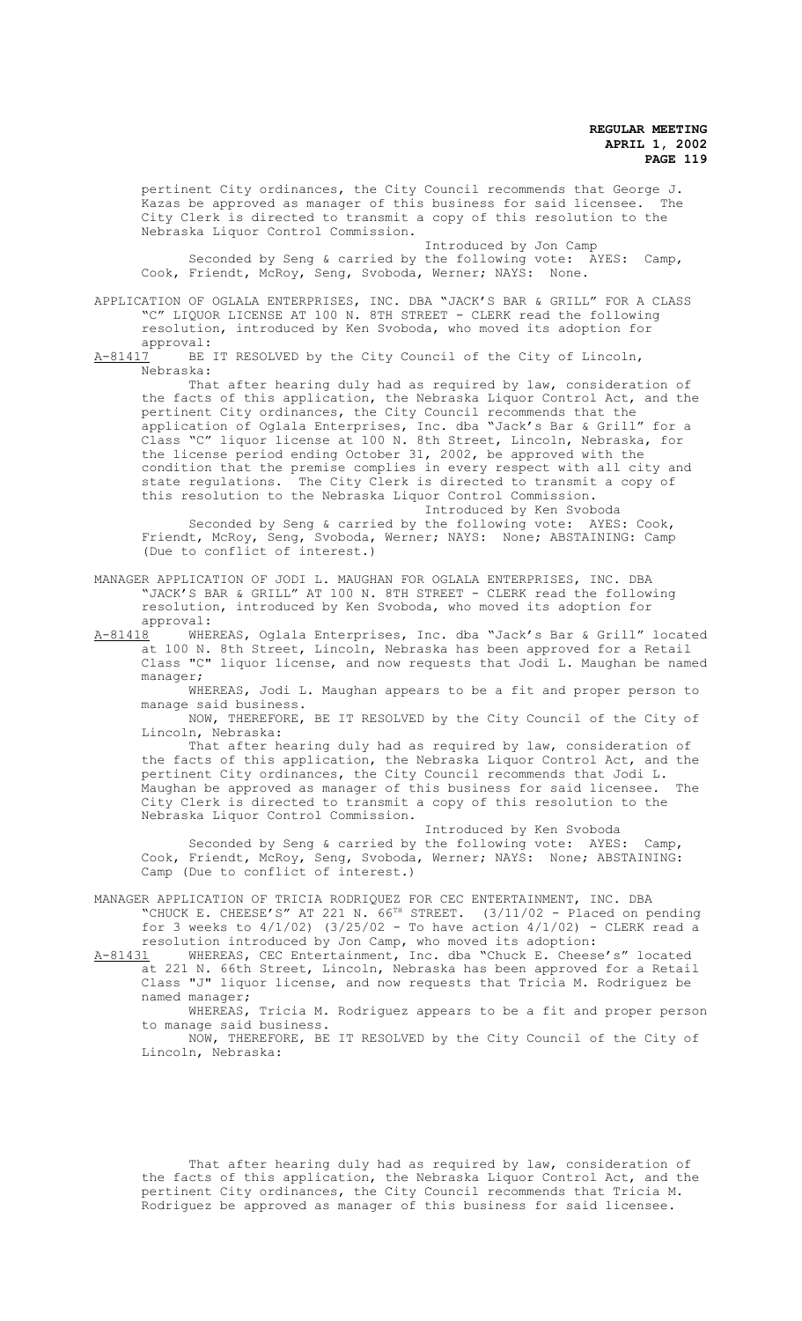pertinent City ordinances, the City Council recommends that George J.<br>Kazas be approved as manager of this business for said licensee. The .<br>Kazas be approved as manager of this business for said licensee. City Clerk is directed to transmit a copy of this resolution to the Nebraska Liquor Control Commission.

Introduced by Jon Camp Seconded by Seng & carried by the following vote: AYES: Camp, Cook, Friendt, McRoy, Seng, Svoboda, Werner; NAYS: None.

APPLICATION OF OGLALA ENTERPRISES, INC. DBA "JACK'S BAR & GRILL" FOR A CLASS "C" LIQUOR LICENSE AT 100 N. 8TH STREET - CLERK read the following resolution, introduced by Ken Svoboda, who moved its adoption for

approval:<br>A-81417 BE BE IT RESOLVED by the City Council of the City of Lincoln, Nebraska:

That after hearing duly had as required by law, consideration of the facts of this application, the Nebraska Liquor Control Act, and the pertinent City ordinances, the City Council recommends that the application of Oglala Enterprises, Inc. dba "Jack's Bar & Grill" for a Class "C" liquor license at 100 N. 8th Street, Lincoln, Nebraska, for the license period ending October 31, 2002, be approved with the condition that the premise complies in every respect with all city and state regulations. The City Clerk is directed to transmit a copy of this resolution to the Nebraska Liquor Control Commission.

Introduced by Ken Svoboda Seconded by Seng & carried by the following vote: AYES: Cook, Friendt, McRoy, Seng, Svoboda, Werner; NAYS: None; ABSTAINING: Camp (Due to conflict of interest.)

- MANAGER APPLICATION OF JODI L. MAUGHAN FOR OGLALA ENTERPRISES, INC. DBA "JACK'S BAR & GRILL" AT 100 N. 8TH STREET - CLERK read the following resolution, introduced by Ken Svoboda, who moved its adoption for approval:
- A-81418 WHEREAS, Oglala Enterprises, Inc. dba "Jack's Bar & Grill" located at 100 N. 8th Street, Lincoln, Nebraska has been approved for a Retail Class "C" liquor license, and now requests that Jodi L. Maughan be named manager;
	- WHEREAS, Jodi L. Maughan appears to be a fit and proper person to manage said business.

NOW, THEREFORE, BE IT RESOLVED by the City Council of the City of Lincoln, Nebraska:

That after hearing duly had as required by law, consideration of the facts of this application, the Nebraska Liquor Control Act, and the pertinent City ordinances, the City Council recommends that Jodi L. Maughan be approved as manager of this business for said licensee. The City Clerk is directed to transmit a copy of this resolution to the Nebraska Liquor Control Commission.

Introduced by Ken Svoboda Seconded by Seng & carried by the following vote: AYES: Camp, Cook, Friendt, McRoy, Seng, Svoboda, Werner; NAYS: None; ABSTAINING: Camp (Due to conflict of interest.)

MANAGER APPLICATION OF TRICIA RODRIQUEZ FOR CEC ENTERTAINMENT, INC. DBA N AFFILICATION OF INICIN NOTHLYCHE FOR CIT THE THE RESERVING ON PENDING THE CHEESE'S" AT 221 N. 66<sup>TH</sup> STREET. (3/11/02 - Placed on pending for 3 weeks to  $4/1/02$ ) (3/25/02 - To have action  $4/1/02$ ) - CLERK read a resolution introduced by Jon Camp, who moved its adoption:

A-81431 WHEREAS, CEC Entertainment, Inc. dba "Chuck E. Cheese's" located at 221 N. 66th Street, Lincoln, Nebraska has been approved for a Retail Class "J" liquor license, and now requests that Tricia M. Rodriguez be named manager;

WHEREAS, Tricia M. Rodriguez appears to be a fit and proper person to manage said business.

NOW, THEREFORE, BE IT RESOLVED by the City Council of the City of Lincoln, Nebraska:

That after hearing duly had as required by law, consideration of the facts of this application, the Nebraska Liquor Control Act, and the pertinent City ordinances, the City Council recommends that Tricia M. Rodriguez be approved as manager of this business for said licensee.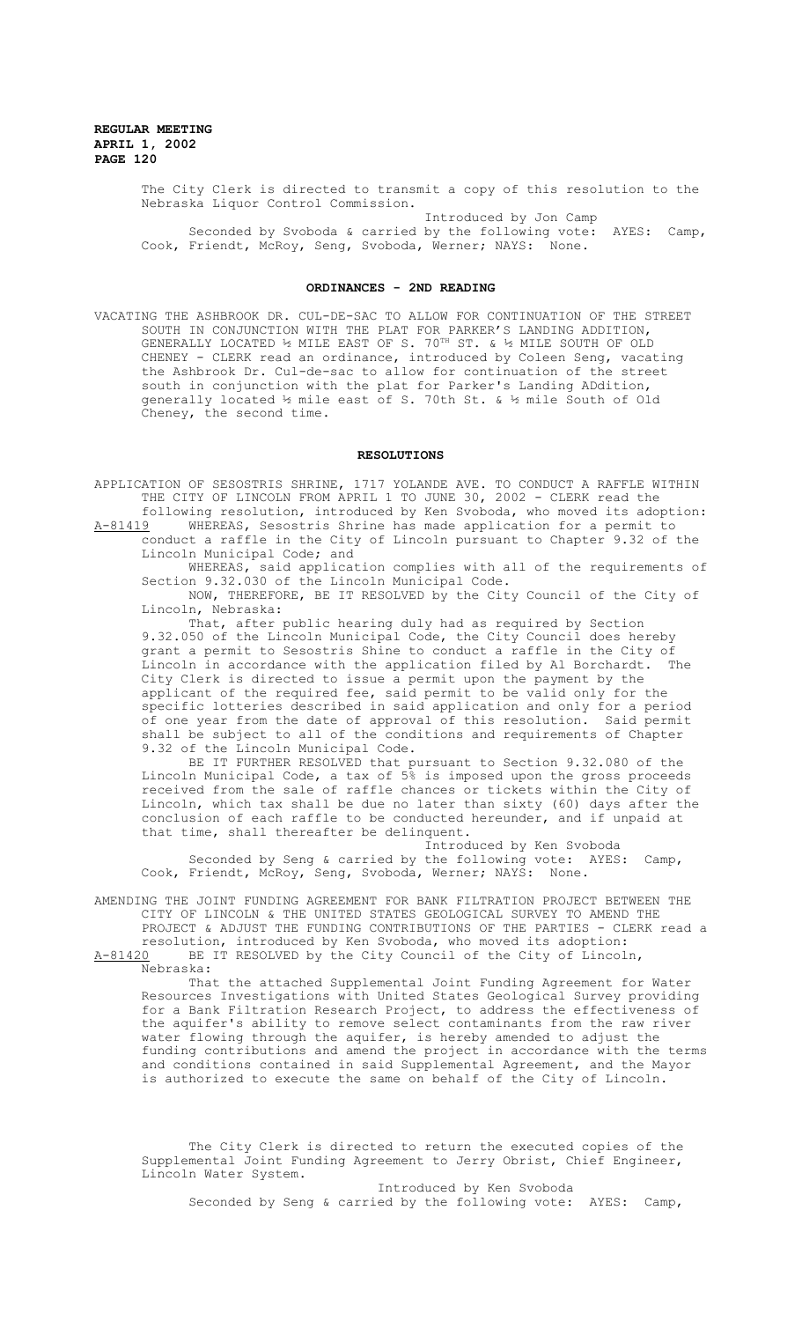The City Clerk is directed to transmit a copy of this resolution to the Nebraska Liquor Control Commission.

Introduced by Jon Camp Seconded by Svoboda & carried by the following vote: AYES: Camp, Cook, Friendt, McRoy, Seng, Svoboda, Werner; NAYS: None.

## **ORDINANCES - 2ND READING**

VACATING THE ASHBROOK DR. CUL-DE-SAC TO ALLOW FOR CONTINUATION OF THE STREET SOUTH IN CONJUNCTION WITH THE PLAT FOR PARKER'S LANDING ADDITION, GENERALLY LOCATED ½ MILE EAST OF S. 70<sup>TH</sup> ST. & ½ MILE SOUTH OF OLD CHENEY - CLERK read an ordinance, introduced by Coleen Seng, vacating the Ashbrook Dr. Cul-de-sac to allow for continuation of the street south in conjunction with the plat for Parker's Landing ADdition, generally located ½ mile east of S. 70th St. & ½ mile South of Old Cheney, the second time.

#### **RESOLUTIONS**

APPLICATION OF SESOSTRIS SHRINE, 1717 YOLANDE AVE. TO CONDUCT A RAFFLE WITHIN THE CITY OF LINCOLN FROM APRIL 1 TO JUNE 30, 2002 - CLERK read the following resolution, introduced by Ken Svoboda, who moved its adoption:

A-81419 MHEREAS, Sesostris Shrine has made application for a permit to conduct a raffle in the City of Lincoln pursuant to Chapter 9.32 of the Lincoln Municipal Code; and

WHEREAS, said application complies with all of the requirements of Section 9.32.030 of the Lincoln Municipal Code.

NOW, THEREFORE, BE IT RESOLVED by the City Council of the City of Lincoln, Nebraska:

That, after public hearing duly had as required by Section 9.32.050 of the Lincoln Municipal Code, the City Council does hereby grant a permit to Sesostris Shine to conduct a raffle in the City of<br>Lincoln in accordance with the application filed by Al Borchardt The Lincoln in accordance with the application filed by Al Borchardt. City Clerk is directed to issue a permit upon the payment by the applicant of the required fee, said permit to be valid only for the specific lotteries described in said application and only for a period of one year from the date of approval of this resolution. Said permit shall be subject to all of the conditions and requirements of Chapter 9.32 of the Lincoln Municipal Code.

BE IT FURTHER RESOLVED that pursuant to Section 9.32.080 of the Lincoln Municipal Code, a tax of 5% is imposed upon the gross proceeds received from the sale of raffle chances or tickets within the City of Lincoln, which tax shall be due no later than sixty (60) days after the conclusion of each raffle to be conducted hereunder, and if unpaid at that time, shall thereafter be delinquent.

Introduced by Ken Svoboda Seconded by Seng & carried by the following vote: AYES: Camp, Cook, Friendt, McRoy, Seng, Svoboda, Werner; NAYS: None.

AMENDING THE JOINT FUNDING AGREEMENT FOR BANK FILTRATION PROJECT BETWEEN THE CITY OF LINCOLN & THE UNITED STATES GEOLOGICAL SURVEY TO AMEND THE PROJECT & ADJUST THE FUNDING CONTRIBUTIONS OF THE PARTIES - CLERK read a

resolution, introduced by Ken Svoboda, who moved its adoption:<br>A-81420 BE IT RESOLVED by the City Council of the City of Lincole BE IT RESOLVED by the City Council of the City of Lincoln, Nebraska:

That the attached Supplemental Joint Funding Agreement for Water Resources Investigations with United States Geological Survey providing for a Bank Filtration Research Project, to address the effectiveness of the aquifer's ability to remove select contaminants from the raw river water flowing through the aquifer, is hereby amended to adjust the funding contributions and amend the project in accordance with the terms and conditions contained in said Supplemental Agreement, and the Mayor is authorized to execute the same on behalf of the City of Lincoln.

The City Clerk is directed to return the executed copies of the Supplemental Joint Funding Agreement to Jerry Obrist, Chief Engineer, Lincoln Water System.

Introduced by Ken Svoboda Seconded by Seng & carried by the following vote: AYES: Camp,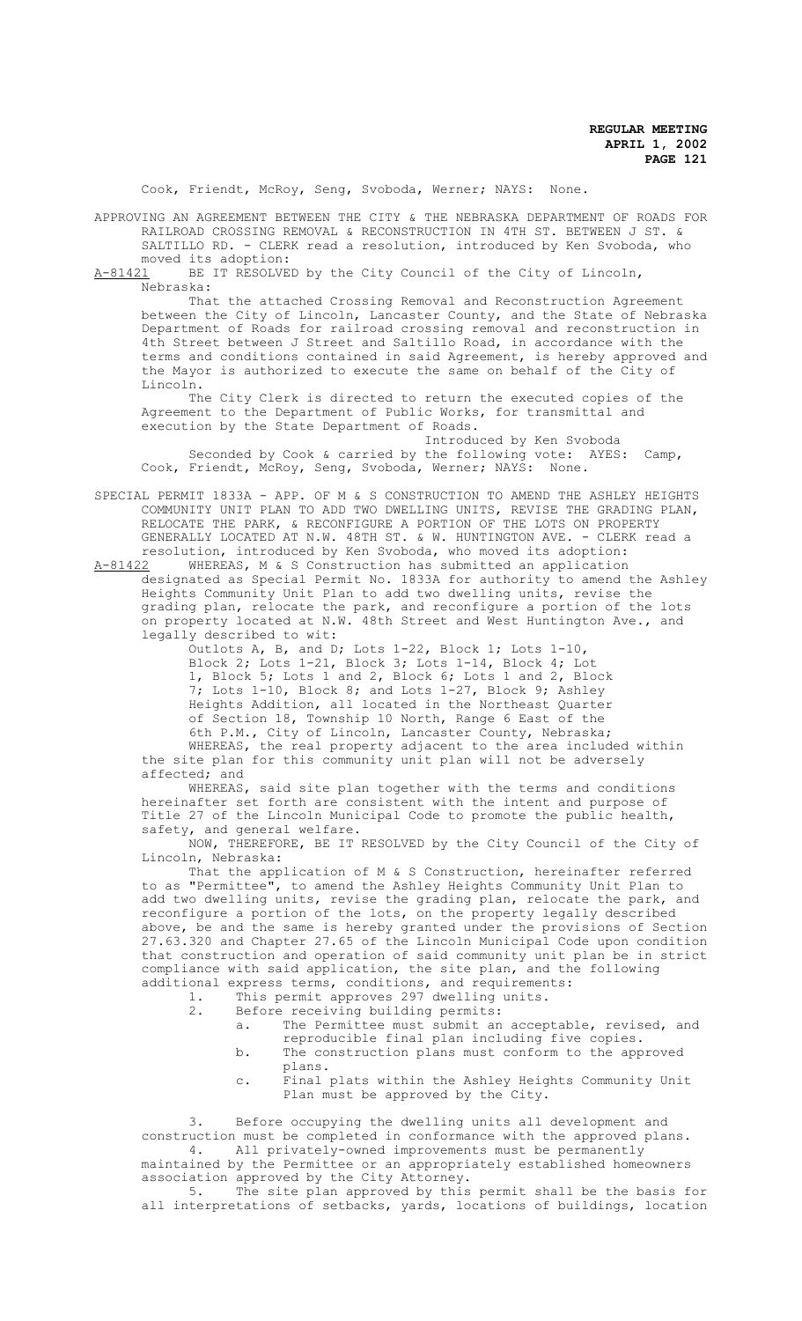Cook, Friendt, McRoy, Seng, Svoboda, Werner; NAYS: None.

APPROVING AN AGREEMENT BETWEEN THE CITY & THE NEBRASKA DEPARTMENT OF ROADS FOR RAILROAD CROSSING REMOVAL & RECONSTRUCTION IN 4TH ST. BETWEEN J ST. & SALTILLO RD. - CLERK read a resolution, introduced by Ken Svoboda, who

moved its adoption:<br>A-81421 BE IT RESOLVE BE IT RESOLVED by the City Council of the City of Lincoln, Nebraska:

That the attached Crossing Removal and Reconstruction Agreement between the City of Lincoln, Lancaster County, and the State of Nebraska Department of Roads for railroad crossing removal and reconstruction in 4th Street between J Street and Saltillo Road, in accordance with the terms and conditions contained in said Agreement, is hereby approved and the Mayor is authorized to execute the same on behalf of the City of Lincoln.

The City Clerk is directed to return the executed copies of the Agreement to the Department of Public Works, for transmittal and execution by the State Department of Roads.

Introduced by Ken Svoboda Seconded by Cook & carried by the following vote: AYES: Camp, Cook, Friendt, McRoy, Seng, Svoboda, Werner; NAYS: None.

SPECIAL PERMIT 1833A - APP. OF M & S CONSTRUCTION TO AMEND THE ASHLEY HEIGHTS COMMUNITY UNIT PLAN TO ADD TWO DWELLING UNITS, REVISE THE GRADING PLAN, RELOCATE THE PARK, & RECONFIGURE A PORTION OF THE LOTS ON PROPERTY GENERALLY LOCATED AT N.W. 48TH ST. & W. HUNTINGTON AVE. - CLERK read a resolution, introduced by Ken Svoboda, who moved its adoption:

A-81422 MHEREAS, M & S Construction has submitted an application designated as Special Permit No. 1833A for authority to amend the Ashley Heights Community Unit Plan to add two dwelling units, revise the grading plan, relocate the park, and reconfigure a portion of the lots on property located at N.W. 48th Street and West Huntington Ave., and legally described to wit:

Outlots A, B, and D; Lots 1-22, Block 1; Lots 1-10, Block 2; Lots 1-21, Block 3; Lots 1-14, Block 4; Lot 1, Block 5; Lots 1 and 2, Block 6; Lots 1 and 2, Block 7; Lots 1-10, Block 8; and Lots 1-27, Block 9; Ashley Heights Addition, all located in the Northeast Quarter of Section 18, Township 10 North, Range 6 East of the 6th P.M., City of Lincoln, Lancaster County, Nebraska; WHEREAS, the real property adjacent to the area included within the site plan for this community unit plan will not be adversely affected; and

affected; WHEREAS, said site plan together with the terms and conditions hereinafter set forth are consistent with the intent and purpose of Title 27 of the Lincoln Municipal Code to promote the public health, safety, and general welfare.

NOW, THEREFORE, BE IT RESOLVED by the City Council of the City of Lincoln, Nebraska:

That the application of M & S Construction, hereinafter referred to as "Permittee", to amend the Ashley Heights Community Unit Plan to add two dwelling units, revise the grading plan, relocate the park, and reconfigure a portion of the lots, on the property legally described above, be and the same is hereby granted under the provisions of Section 27.63.320 and Chapter 27.65 of the Lincoln Municipal Code upon condition that construction and operation of said community unit plan be in strict compliance with said application, the site plan, and the following additional express terms, conditions, and requirements:

- 1. This permit approves 297 dwelling units.
- 2. Before receiving building permits:
	- a. The Permittee must submit an acceptable, revised, and reproducible final plan including five copies.
	- b. The construction plans must conform to the approved plans.
	- c. Final plats within the Ashley Heights Community Unit Plan must be approved by the City.

Before occupying the dwelling units all development and construction must be completed in conformance with the approved plans.<br>4. All privately-owned improvements must be permanently All privately-owned improvements must be permanently

maintained by the Permittee or an appropriately established homeowners association approved by the City Attorney.<br>5 The site plan approved by this

The site plan approved by this permit shall be the basis for all interpretations of setbacks, yards, locations of buildings, location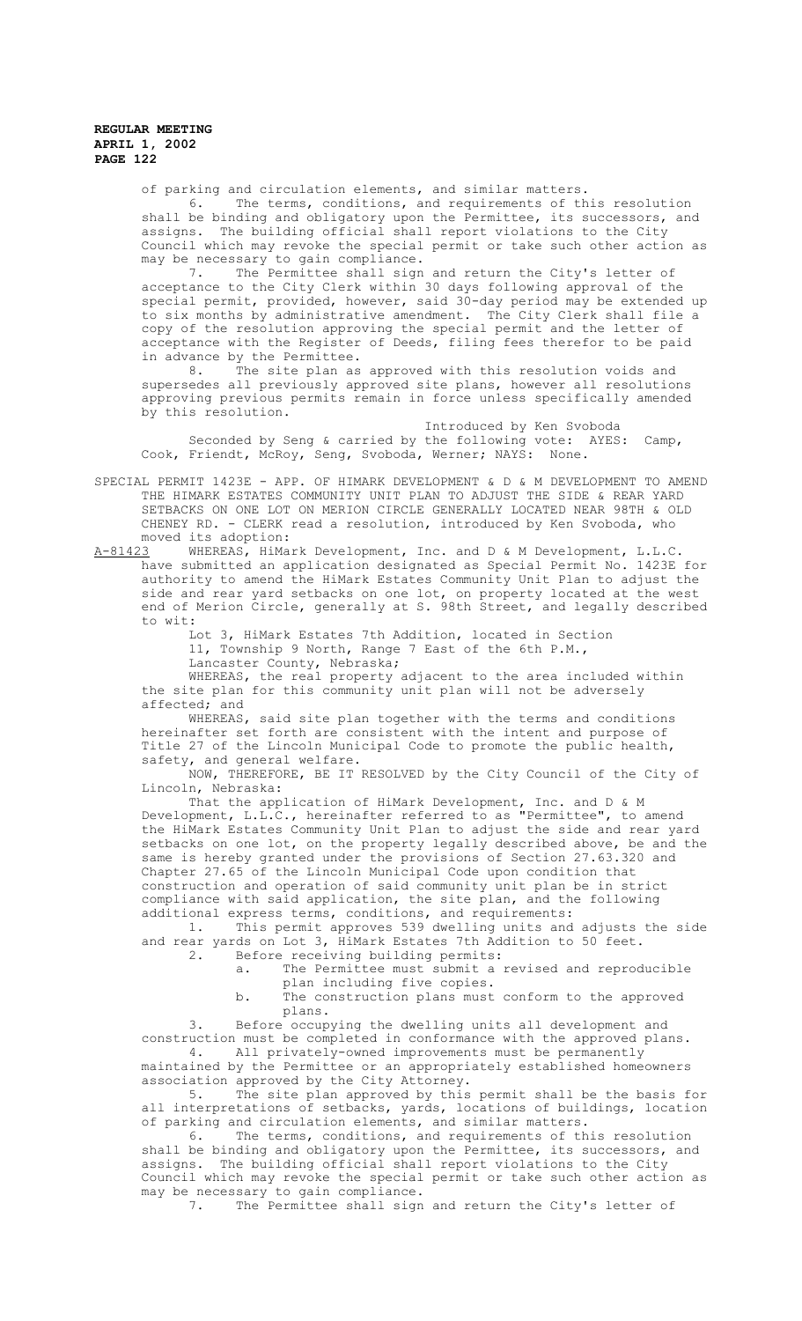of parking and circulation elements, and similar matters.

6. The terms, conditions, and requirements of this resolution shall be binding and obligatory upon the Permittee, its successors, and assigns. The building official shall report violations to the City Council which may revoke the special permit or take such other action as may be necessary to gain compliance.

7. The Permittee shall sign and return the City's letter of acceptance to the City Clerk within 30 days following approval of the special permit, provided, however, said 30-day period may be extended up to six months by administrative amendment. The City Clerk shall file a copy of the resolution approving the special permit and the letter of acceptance with the Register of Deeds, filing fees therefor to be paid in advance by the Permittee.<br>8. The site plan as

The site plan as approved with this resolution voids and supersedes all previously approved site plans, however all resolutions approving previous permits remain in force unless specifically amended by this resolution.

Introduced by Ken Svoboda Seconded by Seng & carried by the following vote: AYES: Camp, Cook, Friendt, McRoy, Seng, Svoboda, Werner; NAYS: None.

SPECIAL PERMIT 1423E - APP. OF HIMARK DEVELOPMENT & D & M DEVELOPMENT TO AMEND THE HIMARK ESTATES COMMUNITY UNIT PLAN TO ADJUST THE SIDE & REAR YARD SETBACKS ON ONE LOT ON MERION CIRCLE GENERALLY LOCATED NEAR 98TH & OLD CHENEY RD. - CLERK read a resolution, introduced by Ken Svoboda, who moved its adoption:<br>A-81423 WHEREAS, HiMa

WHEREAS, HiMark Development, Inc. and D & M Development, L.L.C. have submitted an application designated as Special Permit No. 1423E for authority to amend the HiMark Estates Community Unit Plan to adjust the side and rear yard setbacks on one lot, on property located at the west end of Merion Circle, generally at S. 98th Street, and legally described to wit:

Lot 3, HiMark Estates 7th Addition, located in Section 11, Township 9 North, Range 7 East of the 6th P.M.,

Lancaster County, Nebraska;

WHEREAS, the real property adjacent to the area included within the site plan for this community unit plan will not be adversely affected; and

WHEREAS, said site plan together with the terms and conditions hereinafter set forth are consistent with the intent and purpose of Title 27 of the Lincoln Municipal Code to promote the public health, safety, and general welfare.

NOW, THEREFORE, BE IT RESOLVED by the City Council of the City of Lincoln, Nebraska:

That the application of HiMark Development, Inc. and D & M Development, L.L.C., hereinafter referred to as "Permittee", to amend the HiMark Estates Community Unit Plan to adjust the side and rear yard setbacks on one lot, on the property legally described above, be and the same is hereby granted under the provisions of Section 27.63.320 and Chapter 27.65 of the Lincoln Municipal Code upon condition that construction and operation of said community unit plan be in strict compliance with said application, the site plan, and the following additional express terms, conditions, and requirements:

1. This permit approves 539 dwelling units and adjusts the side and rear yards on Lot 3, HiMark Estates 7th Addition to 50 feet.<br>2. Before receiving building permits:

- Before receiving building permits: a. The Permittee must submit a revised and reproducible
	- plan including five copies.
- b. The construction plans must conform to the approved plans.

3. Before occupying the dwelling units all development and construction must be completed in conformance with the approved plans.<br>4. All privately-owned improvements must be permanently All privately-owned improvements must be permanently maintained by the Permittee or an appropriately established homeowners

association approved by the City Attorney. 5. The site plan approved by this permit shall be the basis for all interpretations of setbacks, yards, locations of buildings, location

of parking and circulation elements, and similar matters. 6. The terms, conditions, and requirements of this resolution

shall be binding and obligatory upon the Permittee, its successors, and assigns. The building official shall report violations to the City Council which may revoke the special permit or take such other action as may be necessary to gain compliance.<br>7. The Permittee shall sign

The Permittee shall sign and return the City's letter of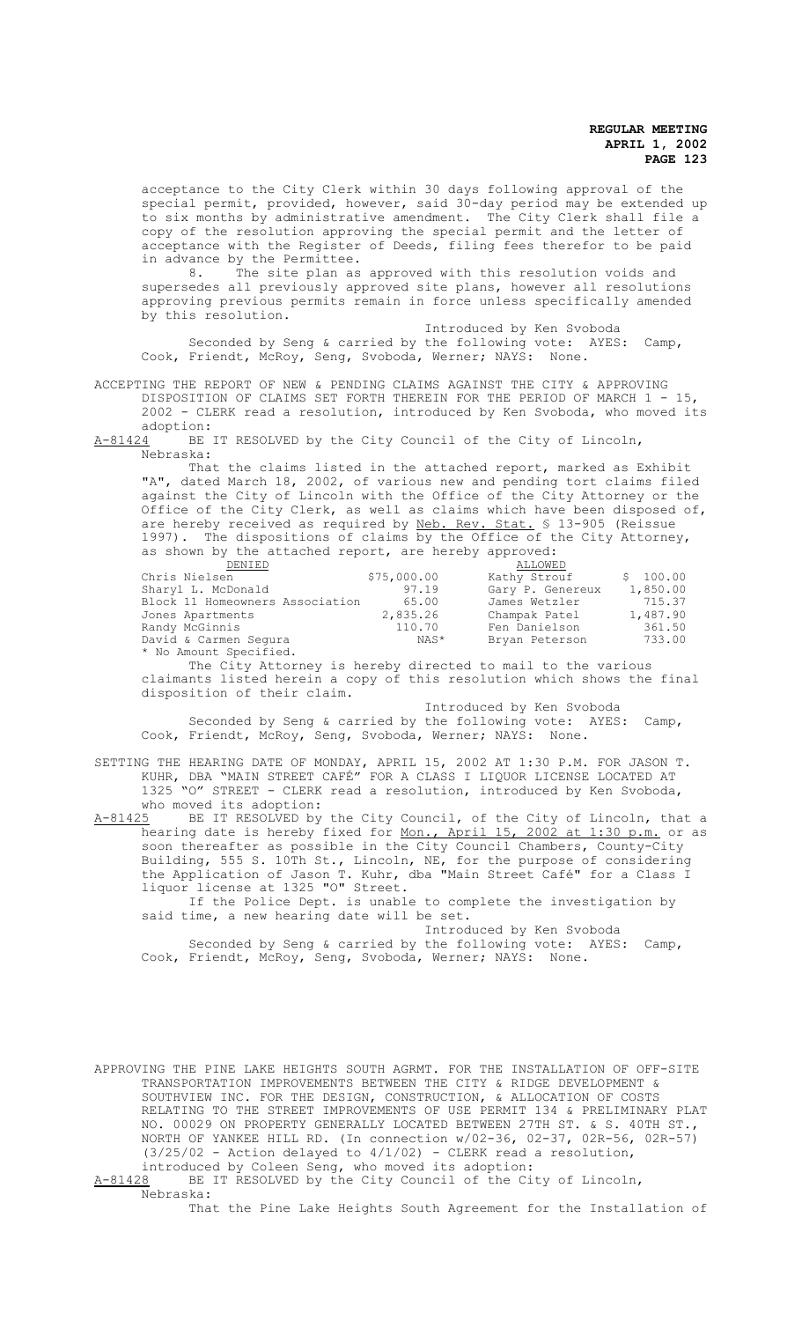acceptance to the City Clerk within 30 days following approval of the special permit, provided, however, said 30-day period may be extended up to six months by administrative amendment. The City Clerk shall file a copy of the resolution approving the special permit and the letter of acceptance with the Register of Deeds, filing fees therefor to be paid in advance by the Permittee.<br>8. The site plan as

The site plan as approved with this resolution voids and supersedes all previously approved site plans, however all resolutions approving previous permits remain in force unless specifically amended by this resolution.

Introduced by Ken Svoboda Seconded by Seng & carried by the following vote: AYES: Camp, Cook, Friendt, McRoy, Seng, Svoboda, Werner; NAYS: None.

ACCEPTING THE REPORT OF NEW & PENDING CLAIMS AGAINST THE CITY & APPROVING DISPOSITION OF CLAIMS SET FORTH THEREIN FOR THE PERIOD OF MARCH 1 - 15, 2002 - CLERK read a resolution, introduced by Ken Svoboda, who moved its

 $\frac{\text{adoption:}}{\text{A}-81424}$ BE BE IT RESOLVED by the City Council of the City of Lincoln, Nebraska:

That the claims listed in the attached report, marked as Exhibit "A", dated March 18, 2002, of various new and pending tort claims filed against the City of Lincoln with the Office of the City Attorney or the Office of the City Clerk, as well as claims which have been disposed of, are hereby received as required by Neb. Rev. Stat. § 13-905 (Reissue 1997). The dispositions of claims by the Office of the City Attorney, as shown by the attached report, are hereby approved:

| DENIED                          |             | ALLOWED          |          |
|---------------------------------|-------------|------------------|----------|
| Chris Nielsen                   | \$75,000.00 | Kathy Strouf     | \$100.00 |
| Sharyl L. McDonald              | 97.19       | Gary P. Genereux | 1,850.00 |
| Block 11 Homeowners Association | 65.00       | James Wetzler    | 715.37   |
| Jones Apartments                | 2,835.26    | Champak Patel    | 1,487.90 |
| Randy McGinnis                  | 110.70      | Fen Danielson    | 361.50   |
| David & Carmen Sequra           | NAS*        | Bryan Peterson   | 733.00   |
| * No Amount Specified.          |             |                  |          |

The City Attorney is hereby directed to mail to the various claimants listed herein a copy of this resolution which shows the final disposition of their claim.

 Introduced by Ken Svoboda Seconded by Seng & carried by the following vote: AYES: Camp, Cook, Friendt, McRoy, Seng, Svoboda, Werner; NAYS: None.

SETTING THE HEARING DATE OF MONDAY, APRIL 15, 2002 AT 1:30 P.M. FOR JASON T. KUHR, DBA "MAIN STREET CAFÉ" FOR A CLASS I LIQUOR LICENSE LOCATED AT 1325 "O" STREET - CLERK read a resolution, introduced by Ken Svoboda, who moved its adoption:<br>A-81425 BE IT RESOLVED by

BE IT RESOLVED by the City Council, of the City of Lincoln, that a hearing date is hereby fixed for Mon., April 15, 2002 at 1:30 p.m. or as soon thereafter as possible in the City Council Chambers, County-City Building, 555 S. 10Th St., Lincoln, NE, for the purpose of considering the Application of Jason T. Kuhr, dba "Main Street Café" for a Class I liquor license at 1325 "O" Street.

If the Police Dept. is unable to complete the investigation by said time, a new hearing date will be set.

Introduced by Ken Svoboda Seconded by Seng & carried by the following vote: AYES: Camp, Cook, Friendt, McRoy, Seng, Svoboda, Werner; NAYS: None.

APPROVING THE PINE LAKE HEIGHTS SOUTH AGRMT. FOR THE INSTALLATION OF OFF-SITE TRANSPORTATION IMPROVEMENTS BETWEEN THE CITY & RIDGE DEVELOPMENT & SOUTHVIEW INC. FOR THE DESIGN, CONSTRUCTION, & ALLOCATION OF COSTS RELATING TO THE STREET IMPROVEMENTS OF USE PERMIT 134 & PRELIMINARY PLAT NO. 00029 ON PROPERTY GENERALLY LOCATED BETWEEN 27TH ST. & S. 40TH ST., NORTH OF YANKEE HILL RD. (In connection w/02-36, 02-37, 02R-56, 02R-57)  $(3/25/02$  - Action delayed to  $4/1/02$ ) - CLERK read a resolution, introduced by Coleen Seng, who moved its adoption:<br>A-81428 BE IT RESOLVED by the City Council of the Ci BE IT RESOLVED by the City Council of the City of Lincoln,

Nebraska:

That the Pine Lake Heights South Agreement for the Installation of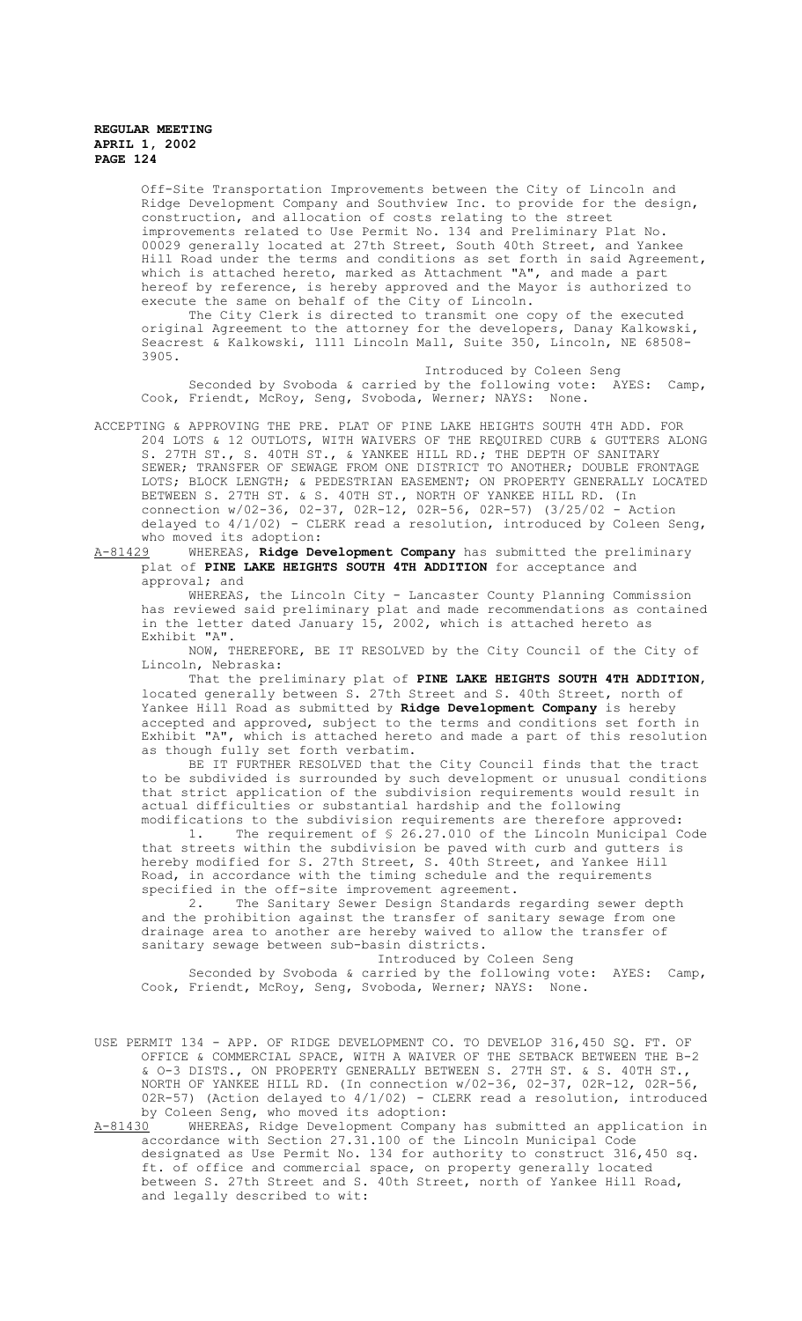Off-Site Transportation Improvements between the City of Lincoln and Ridge Development Company and Southview Inc. to provide for the design, construction, and allocation of costs relating to the street improvements related to Use Permit No. 134 and Preliminary Plat No. 00029 generally located at 27th Street, South 40th Street, and Yankee Hill Road under the terms and conditions as set forth in said Agreement, which is attached hereto, marked as Attachment "A", and made a part hereof by reference, is hereby approved and the Mayor is authorized to execute the same on behalf of the City of Lincoln.

The City Clerk is directed to transmit one copy of the executed original Agreement to the attorney for the developers, Danay Kalkowski, Seacrest & Kalkowski, 1111 Lincoln Mall, Suite 350, Lincoln, NE 68508- 3905.

Introduced by Coleen Seng Seconded by Svoboda & carried by the following vote: AYES: Camp, Cook, Friendt, McRoy, Seng, Svoboda, Werner; NAYS:

ACCEPTING & APPROVING THE PRE. PLAT OF PINE LAKE HEIGHTS SOUTH 4TH ADD. FOR 204 LOTS & 12 OUTLOTS, WITH WAIVERS OF THE REQUIRED CURB & GUTTERS ALONG S. 27TH ST., S. 40TH ST., & YANKEE HILL RD.; THE DEPTH OF SANITARY SEWER; TRANSFER OF SEWAGE FROM ONE DISTRICT TO ANOTHER; DOUBLE FRONTAGE LOTS; BLOCK LENGTH; & PEDESTRIAN EASEMENT; ON PROPERTY GENERALLY LOCATED BETWEEN S. 27TH ST. & S. 40TH ST., NORTH OF YANKEE HILL RD. (In connection w/02-36, 02-37, 02R-12, 02R-56, 02R-57) (3/25/02 - Action delayed to 4/1/02) - CLERK read a resolution, introduced by Coleen Seng, who moved its adoption:<br><u>A-81429</u> WHEREAS, Ridge De

WHEREAS, Ridge Development Company has submitted the preliminary plat of **PINE LAKE HEIGHTS SOUTH 4TH ADDITION** for acceptance and approval; and

WHEREAS, the Lincoln City - Lancaster County Planning Commission has reviewed said preliminary plat and made recommendations as contained in the letter dated January 15, 2002, which is attached hereto as Exhibit "A".

NOW, THEREFORE, BE IT RESOLVED by the City Council of the City of Lincoln, Nebraska:

That the preliminary plat of **PINE LAKE HEIGHTS SOUTH 4TH ADDITION**, located generally between S. 27th Street and S. 40th Street, north of Yankee Hill Road as submitted by **Ridge Development Company** is hereby accepted and approved, subject to the terms and conditions set forth in Exhibit "A", which is attached hereto and made a part of this resolution as though fully set forth verbatim.

BE IT FURTHER RESOLVED that the City Council finds that the tract to be subdivided is surrounded by such development or unusual conditions that strict application of the subdivision requirements would result in actual difficulties or substantial hardship and the following modifications to the subdivision requirements are therefore approved:

1. The requirement of § 26.27.010 of the Lincoln Municipal Code that streets within the subdivision be paved with curb and gutters is hereby modified for S. 27th Street, S. 40th Street, and Yankee Hill Road, in accordance with the timing schedule and the requirements specified in the off-site improvement agreement.<br>2. The Sanitary Sewer Design Standards

The Sanitary Sewer Design Standards regarding sewer depth and the prohibition against the transfer of sanitary sewage from one drainage area to another are hereby waived to allow the transfer of sanitary sewage between sub-basin districts.

Introduced by Coleen Seng Seconded by Svoboda & carried by the following vote: AYES: Camp,<br>Friendt, McRov, Seng, Svoboda, Werner: NAYS: None. Cook, Friendt, McRoy, Seng, Svoboda, Werner; NAYS:

USE PERMIT 134 - APP. OF RIDGE DEVELOPMENT CO. TO DEVELOP 316,450 SQ. FT. OF OFFICE & COMMERCIAL SPACE, WITH A WAIVER OF THE SETBACK BETWEEN THE B-2 & O-3 DISTS., ON PROPERTY GENERALLY BETWEEN S. 27TH ST. & S. 40TH ST., NORTH OF YANKEE HILL RD. (In connection w/02-36, 02-37, 02R-12, 02R-56, 02R-57) (Action delayed to 4/1/02) - CLERK read a resolution, introduced by Coleen Seng, who moved its adoption:<br>A-81430 WHEREAS, Ridge Development Compan

WHEREAS, Ridge Development Company has submitted an application in accordance with Section 27.31.100 of the Lincoln Municipal Code designated as Use Permit No. 134 for authority to construct 316,450 sq. ft. of office and commercial space, on property generally located between S. 27th Street and S. 40th Street, north of Yankee Hill Road, and legally described to wit: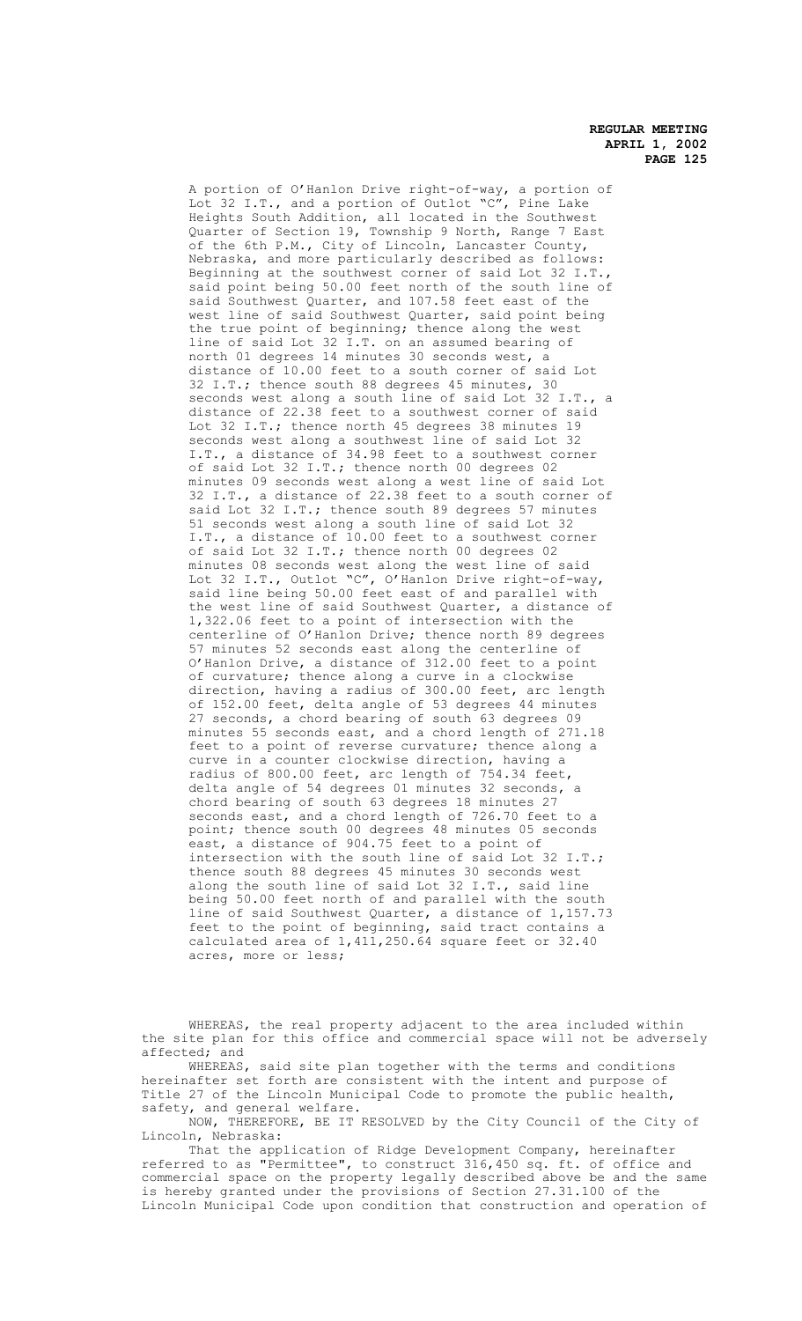A portion of O'Hanlon Drive right-of-way, a portion of Lot 32 I.T., and a portion of Outlot "C", Pine Lake Heights South Addition, all located in the Southwest Quarter of Section 19, Township 9 North, Range 7 East of the 6th P.M., City of Lincoln, Lancaster County, Nebraska, and more particularly described as follows: Beginning at the southwest corner of said Lot 32 I.T. said point being 50.00 feet north of the south line of said Southwest Quarter, and 107.58 feet east of the west line of said Southwest Quarter, said point being the true point of beginning; thence along the west line of said Lot 32 I.T. on an assumed bearing of north 01 degrees 14 minutes 30 seconds west, a distance of 10.00 feet to a south corner of said Lot 32 I.T.; thence south 88 degrees 45 minutes, 30 seconds west along a south line of said Lot 32 I.T., a distance of 22.38 feet to a southwest corner of said Lot 32 I.T.; thence north 45 degrees 38 minutes 19 seconds west along a southwest line of said Lot 32 I.T., a distance of 34.98 feet to a southwest corner of said Lot 32 I.T.; thence north 00 degrees 02 minutes 09 seconds west along a west line of said Lot 32 I.T., a distance of 22.38 feet to a south corner of said Lot 32 I.T.; thence south 89 degrees 57 minutes 51 seconds west along a south line of said Lot 32 I.T., a distance of 10.00 feet to a southwest corner of said Lot 32 I.T.; thence north 00 degrees 02 minutes 08 seconds west along the west line of said Lot 32 I.T., Outlot "C", O'Hanlon Drive right-of-way, said line being 50.00 feet east of and parallel with the west line of said Southwest Quarter, a distance of 1,322.06 feet to a point of intersection with the centerline of O'Hanlon Drive; thence north 89 degrees 57 minutes 52 seconds east along the centerline of O'Hanlon Drive, a distance of 312.00 feet to a point of curvature; thence along a curve in a clockwise direction, having a radius of 300.00 feet, arc length of 152.00 feet, delta angle of 53 degrees 44 minutes 27 seconds, a chord bearing of south 63 degrees 09 minutes 55 seconds east, and a chord length of 271.18 feet to a point of reverse curvature; thence along a curve in a counter clockwise direction, having a radius of 800.00 feet, arc length of 754.34 feet, delta angle of 54 degrees 01 minutes 32 seconds, a chord bearing of south 63 degrees 18 minutes 27 seconds east, and a chord length of 726.70 feet to a point; thence south 00 degrees 48 minutes 05 seconds east, a distance of 904.75 feet to a point of intersection with the south line of said Lot 32 I.T.; thence south 88 degrees 45 minutes 30 seconds west along the south line of said Lot 32 I.T., said line being 50.00 feet north of and parallel with the south line of said Southwest Quarter, a distance of 1,157.73 feet to the point of beginning, said tract contains a calculated area of 1,411,250.64 square feet or 32.40 acres, more or less;

WHEREAS, the real property adjacent to the area included within the site plan for this office and commercial space will not be adversely affected; and

WHEREAS, said site plan together with the terms and conditions hereinafter set forth are consistent with the intent and purpose of Title 27 of the Lincoln Municipal Code to promote the public health, safety, and general welfare.

NOW, THEREFORE, BE IT RESOLVED by the City Council of the City of Lincoln, Nebraska:

That the application of Ridge Development Company, hereinafter referred to as "Permittee", to construct 316,450 sq. ft. of office and commercial space on the property legally described above be and the same is hereby granted under the provisions of Section 27.31.100 of the Lincoln Municipal Code upon condition that construction and operation of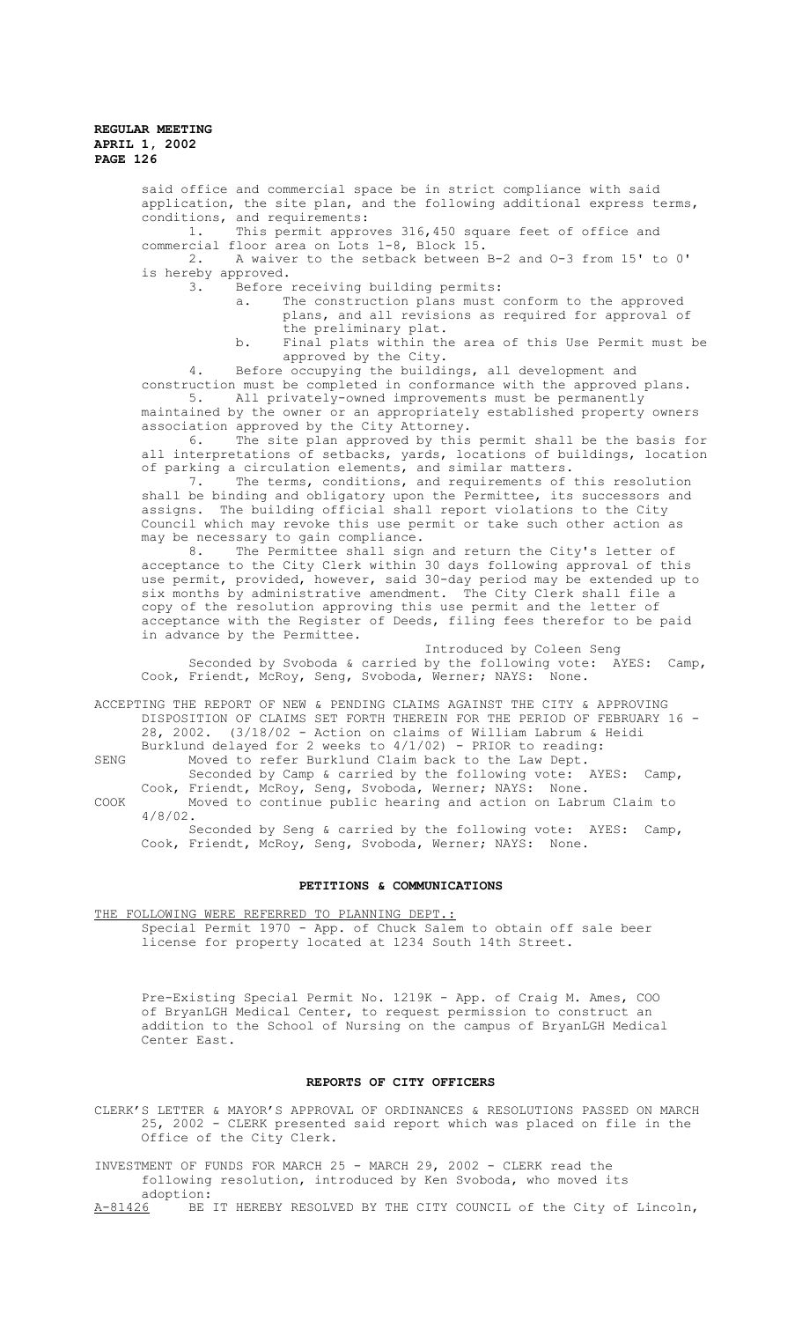said office and commercial space be in strict compliance with said application, the site plan, and the following additional express terms, conditions, and requirements: 1. This permit approves 316,450 square feet of office and commercial floor area on Lots 1-8, Block 15.<br>2. A waiver to the setback between 2. A waiver to the setback between B-2 and O-3 from 15' to 0' is hereby approved.<br>3. Before Before receiving building permits: a. The construction plans must conform to the approved plans, and all revisions as required for approval of the preliminary plat. b. Final plats within the area of this Use Permit must be approved by the City. 4. Before occupying the buildings, all development and construction must be completed in conformance with the approved plans. 5. All privately-owned improvements must be permanently maintained by the owner or an appropriately established property owners association approved by the City Attorney.<br>6. The site plan approved by this The site plan approved by this permit shall be the basis for all interpretations of setbacks, yards, locations of buildings, location of parking a circulation elements, and similar matters. 7. The terms, conditions, and requirements of this resolution shall be binding and obligatory upon the Permittee, its successors and assigns. The building official shall report violations to the City Council which may revoke this use permit or take such other action as may be necessary to gain compliance. 8. The Permittee shall sign and return the City's letter of acceptance to the City Clerk within 30 days following approval of this use permit, provided, however, said 30-day period may be extended up to six months by administrative amendment. The City Clerk shall file a copy of the resolution approving this use permit and the letter of acceptance with the Register of Deeds, filing fees therefor to be paid in advance by the Permittee. Introduced by Coleen Seng Seconded by Svoboda & carried by the following vote: AYES: Camp, Cook, Friendt, McRoy, Seng, Svoboda, Werner; NAYS: None.

ACCEPTING THE REPORT OF NEW & PENDING CLAIMS AGAINST THE CITY & APPROVING DISPOSITION OF CLAIMS SET FORTH THEREIN FOR THE PERIOD OF FEBRUARY 16 - 28, 2002. (3/18/02 - Action on claims of William Labrum & Heidi Burklund delayed for 2 weeks to 4/1/02) - PRIOR to reading:

SENG Moved to refer Burklund Claim back to the Law Dept. Seconded by Camp & carried by the following vote: AYES: Camp, Cook, Friendt, McRoy, Seng, Svoboda, Werner; NAYS: None.

COOK Moved to continue public hearing and action on Labrum Claim to 4/8/02. Seconded by Seng & carried by the following vote: AYES: Camp,

Cook, Friendt, McRoy, Seng, Svoboda, Werner; NAYS: None.

# **PETITIONS & COMMUNICATIONS**

THE FOLLOWING WERE REFERRED TO PLANNING DEPT. Special Permit 1970 - App. of Chuck Salem to obtain off sale beer license for property located at 1234 South 14th Street.

Pre-Existing Special Permit No. 1219K - App. of Craig M. Ames, COO of BryanLGH Medical Center, to request permission to construct an addition to the School of Nursing on the campus of BryanLGH Medical Center East.

## **REPORTS OF CITY OFFICERS**

CLERK'S LETTER & MAYOR'S APPROVAL OF ORDINANCES & RESOLUTIONS PASSED ON MARCH 25, 2002 - CLERK presented said report which was placed on file in the Office of the City Clerk.

INVESTMENT OF FUNDS FOR MARCH 25 - MARCH 29, 2002 - CLERK read the following resolution, introduced by Ken Svoboda, who moved its adoption:<br>A-81426 BE

BE IT HEREBY RESOLVED BY THE CITY COUNCIL of the City of Lincoln,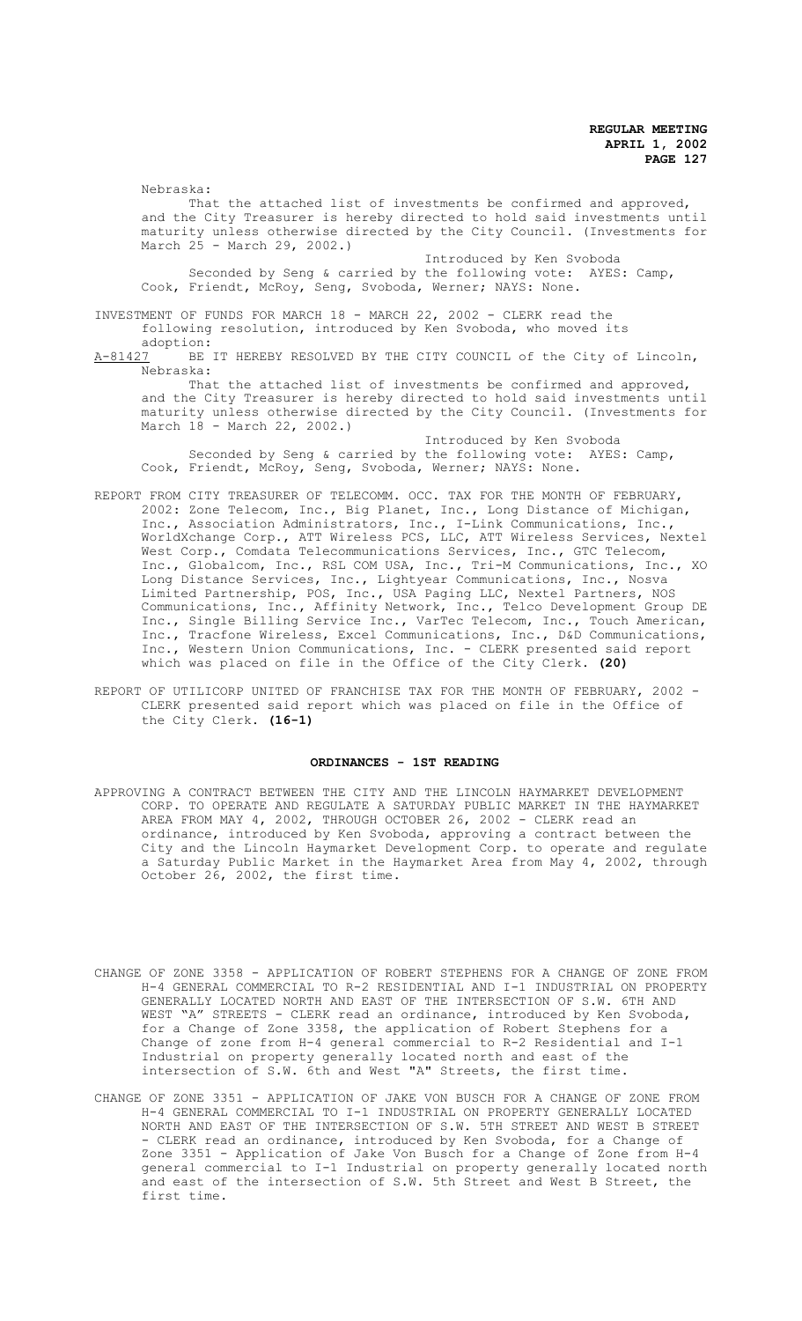Nebraska:

That the attached list of investments be confirmed and approved, and the City Treasurer is hereby directed to hold said investments until maturity unless otherwise directed by the City Council. (Investments for March 25 - March 29, 2002.)

Introduced by Ken Svoboda Seconded by Seng & carried by the following vote: AYES: Camp, Cook, Friendt, McRoy, Seng, Svoboda, Werner; NAYS: None.

INVESTMENT OF FUNDS FOR MARCH 18 - MARCH 22, 2002 - CLERK read the following resolution, introduced by Ken Svoboda, who moved its

adoption:<br>A-81427 BE BE IT HEREBY RESOLVED BY THE CITY COUNCIL of the City of Lincoln, Nebraska:

That the attached list of investments be confirmed and approved, and the City Treasurer is hereby directed to hold said investments until maturity unless otherwise directed by the City Council. (Investments for March 18 - March 22, 2002.)

Introduced by Ken Svoboda Seconded by Seng & carried by the following vote: AYES: Camp, Cook, Friendt, McRoy, Seng, Svoboda, Werner; NAYS: None.

- REPORT FROM CITY TREASURER OF TELECOMM. OCC. TAX FOR THE MONTH OF FEBRUARY, 2002: Zone Telecom, Inc., Big Planet, Inc., Long Distance of Michigan, Inc., Association Administrators, Inc., I-Link Communications, Inc., WorldXchange Corp., ATT Wireless PCS, LLC, ATT Wireless Services, Nextel West Corp., Comdata Telecommunications Services, Inc., GTC Telecom, Inc., Globalcom, Inc., RSL COM USA, Inc., Tri-M Communications, Inc., XO Long Distance Services, Inc., Lightyear Communications, Inc., Nosva Limited Partnership, POS, Inc., USA Paging LLC, Nextel Partners, NOS Communications, Inc., Affinity Network, Inc., Telco Development Group DE Inc., Single Billing Service Inc., VarTec Telecom, Inc., Touch American, Inc., Tracfone Wireless, Excel Communications, Inc., D&D Communications, Inc., Western Union Communications, Inc. - CLERK presented said report which was placed on file in the Office of the City Clerk. **(20)**
- REPORT OF UTILICORP UNITED OF FRANCHISE TAX FOR THE MONTH OF FEBRUARY, 2002 -CLERK presented said report which was placed on file in the Office of the City Clerk. **(16-1)**

#### **ORDINANCES - 1ST READING**

- APPROVING A CONTRACT BETWEEN THE CITY AND THE LINCOLN HAYMARKET DEVELOPMENT CORP. TO OPERATE AND REGULATE A SATURDAY PUBLIC MARKET IN THE HAYMARKET AREA FROM MAY 4, 2002, THROUGH OCTOBER 26, 2002 - CLERK read an ordinance, introduced by Ken Svoboda, approving a contract between the City and the Lincoln Haymarket Development Corp. to operate and regulate a Saturday Public Market in the Haymarket Area from May 4, 2002, through October 26, 2002, the first time.
- CHANGE OF ZONE 3358 APPLICATION OF ROBERT STEPHENS FOR A CHANGE OF ZONE FROM H-4 GENERAL COMMERCIAL TO R-2 RESIDENTIAL AND I-1 INDUSTRIAL ON PROPERTY GENERALLY LOCATED NORTH AND EAST OF THE INTERSECTION OF S.W. 6TH AND WEST "A" STREETS - CLERK read an ordinance, introduced by Ken Svoboda, for a Change of Zone 3358, the application of Robert Stephens for a Change of zone from H-4 general commercial to R-2 Residential and I-1 Industrial on property generally located north and east of the intersection of S.W. 6th and West "A" Streets, the first time.
- CHANGE OF ZONE 3351 APPLICATION OF JAKE VON BUSCH FOR A CHANGE OF ZONE FROM H-4 GENERAL COMMERCIAL TO I-1 INDUSTRIAL ON PROPERTY GENERALLY LOCATED NORTH AND EAST OF THE INTERSECTION OF S.W. 5TH STREET AND WEST B STREET - CLERK read an ordinance, introduced by Ken Svoboda, for a Change of Zone 3351 - Application of Jake Von Busch for a Change of Zone from H-4 general commercial to I-1 Industrial on property generally located north and east of the intersection of S.W. 5th Street and West B Street, the first time.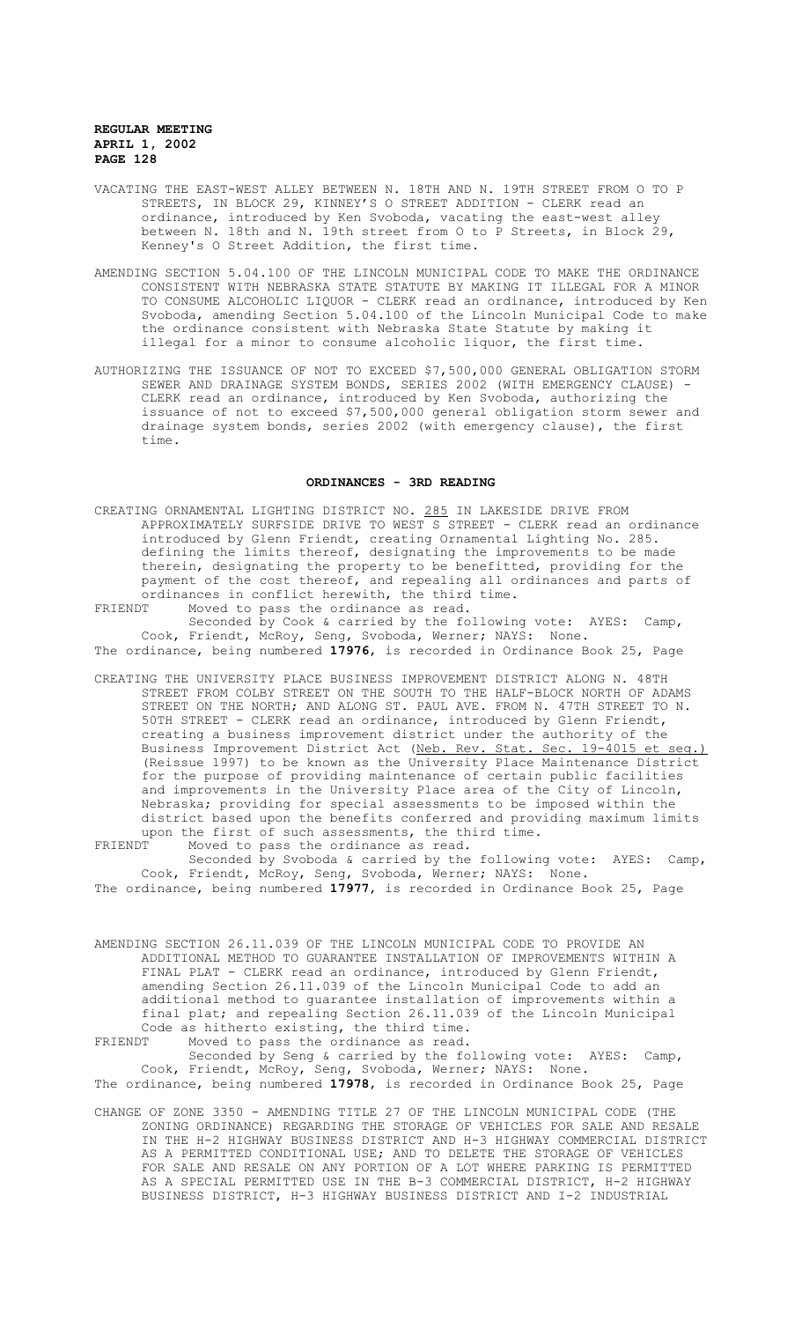- VACATING THE EAST-WEST ALLEY BETWEEN N. 18TH AND N. 19TH STREET FROM O TO P STREETS, IN BLOCK 29, KINNEY'S O STREET ADDITION - CLERK read an ordinance, introduced by Ken Svoboda, vacating the east-west alley between N. 18th and N. 19th street from O to P Streets, in Block 29, Kenney's O Street Addition, the first time.
- AMENDING SECTION 5.04.100 OF THE LINCOLN MUNICIPAL CODE TO MAKE THE ORDINANCE CONSISTENT WITH NEBRASKA STATE STATUTE BY MAKING IT ILLEGAL FOR A MINOR TO CONSUME ALCOHOLIC LIQUOR - CLERK read an ordinance, introduced by Ken Svoboda, amending Section 5.04.100 of the Lincoln Municipal Code to make the ordinance consistent with Nebraska State Statute by making it illegal for a minor to consume alcoholic liquor, the first time.
- AUTHORIZING THE ISSUANCE OF NOT TO EXCEED \$7,500,000 GENERAL OBLIGATION STORM SEWER AND DRAINAGE SYSTEM BONDS, SERIES 2002 (WITH EMERGENCY CLAUSE) -CLERK read an ordinance, introduced by Ken Svoboda, authorizing the issuance of not to exceed \$7,500,000 general obligation storm sewer and drainage system bonds, series 2002 (with emergency clause), the first time.

# **ORDINANCES - 3RD READING**

- CREATING ORNAMENTAL LIGHTING DISTRICT NO. 285 IN LAKESIDE DRIVE FROM APPROXIMATELY SURFSIDE DRIVE TO WEST S STREET - CLERK read an ordinance introduced by Glenn Friendt, creating Ornamental Lighting No. 285. defining the limits thereof, designating the improvements to be made therein, designating the property to be benefitted, providing for the payment of the cost thereof, and repealing all ordinances and parts of ordinances in conflict herewith, the third time.<br>FRIENDT Moved to pass the ordinance as read.
- FRIENDT Moved to pass the ordinance as read. Seconded by Cook & carried by the following vote: AYES: Camp, Cook, Friendt, McRoy, Seng, Svoboda, Werner; NAYS: None.

The ordinance, being numbered **17976**, is recorded in Ordinance Book 25, Page

CREATING THE UNIVERSITY PLACE BUSINESS IMPROVEMENT DISTRICT ALONG N. 48TH STREET FROM COLBY STREET ON THE SOUTH TO THE HALF-BLOCK NORTH OF ADAMS STREET ON THE NORTH; AND ALONG ST. PAUL AVE. FROM N. 47TH STREET TO N. 50TH STREET - CLERK read an ordinance, introduced by Glenn Friendt, creating a business improvement district under the authority of the Business Improvement District Act (Neb. Rev. Stat. Sec. 19-4015 et seq.) (Reissue 1997) to be known as the University Place Maintenance District for the purpose of providing maintenance of certain public facilities and improvements in the University Place area of the City of Lincoln, Nebraska; providing for special assessments to be imposed within the district based upon the benefits conferred and providing maximum limits upon the first of such assessments, the third time.<br>FRIENDT Moved to pass the ordinance as read.

FRIENDT Moved to pass the ordinance as read. Seconded by Svoboda & carried by the following vote: AYES: Camp, Cook, Friendt, McRoy, Seng, Svoboda, Werner; NAYS: None. The ordinance, being numbered **17977**, is recorded in Ordinance Book 25, Page

AMENDING SECTION 26.11.039 OF THE LINCOLN MUNICIPAL CODE TO PROVIDE AN ADDITIONAL METHOD TO GUARANTEE INSTALLATION OF IMPROVEMENTS WITHIN A FINAL PLAT - CLERK read an ordinance, introduced by Glenn Friendt, amending Section 26.11.039 of the Lincoln Municipal Code to add an additional method to guarantee installation of improvements within a final plat; and repealing Section 26.11.039 of the Lincoln Municipal Code as hitherto existing, the third time.

FRIENDT Moved to pass the ordinance as read.

Seconded by Seng & carried by the following vote: AYES: Camp, Cook, Friendt, McRoy, Seng, Svoboda, Werner; NAYS: None. The ordinance, being numbered **17978**, is recorded in Ordinance Book 25, Page

CHANGE OF ZONE 3350 - AMENDING TITLE 27 OF THE LINCOLN MUNICIPAL CODE (THE ZONING ORDINANCE) REGARDING THE STORAGE OF VEHICLES FOR SALE AND RESALE IN THE H-2 HIGHWAY BUSINESS DISTRICT AND H-3 HIGHWAY COMMERCIAL DISTRICT AS A PERMITTED CONDITIONAL USE; AND TO DELETE THE STORAGE OF VEHICLES FOR SALE AND RESALE ON ANY PORTION OF A LOT WHERE PARKING IS PERMITTED AS A SPECIAL PERMITTED USE IN THE B-3 COMMERCIAL DISTRICT, H-2 HIGHWAY BUSINESS DISTRICT, H-3 HIGHWAY BUSINESS DISTRICT AND I-2 INDUSTRIAL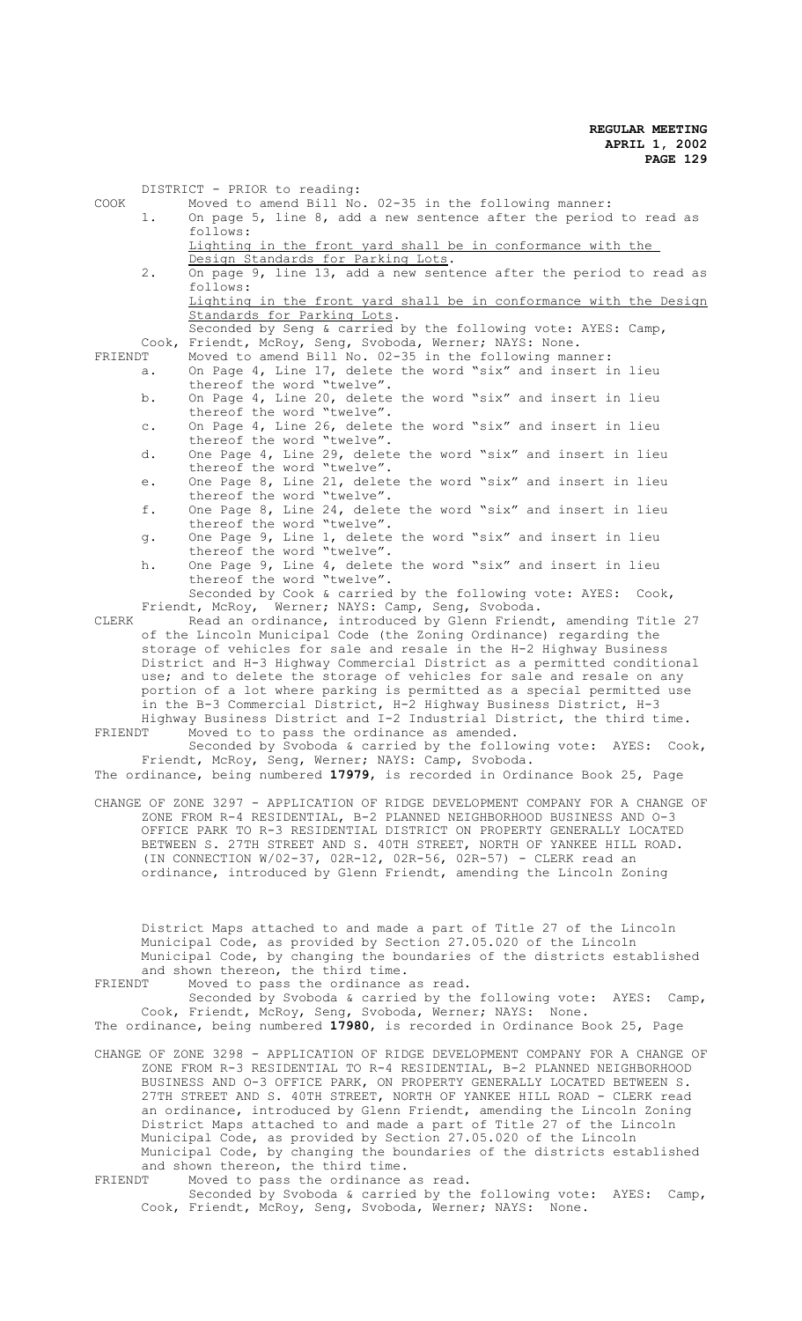|         |                | DISTRICT - PRIOR to reading:                                                               |
|---------|----------------|--------------------------------------------------------------------------------------------|
| COOK    |                | Moved to amend Bill No. 02-35 in the following manner:                                     |
|         | 1.             | On page $5$ , line $8$ , add a new sentence after the period to read as                    |
|         |                | follows:                                                                                   |
|         |                | Lighting in the front yard shall be in conformance with the                                |
|         |                | Design Standards for Parking Lots.                                                         |
|         | $2$ .          | On page 9, line 13, add a new sentence after the period to read as                         |
|         |                | follows:                                                                                   |
|         |                | Lighting in the front yard shall be in conformance with the Design                         |
|         |                | Standards for Parking Lots.                                                                |
|         |                | Seconded by Seng & carried by the following vote: AYES: Camp,                              |
|         | Cook,          | Friendt, McRoy, Seng, Svoboda, Werner; NAYS: None.                                         |
| FRIENDT |                | Moved to amend Bill No. 02-35 in the following manner:                                     |
|         | a.             | On Page 4, Line 17, delete the word "six" and insert in lieu                               |
|         |                | thereof the word "twelve".                                                                 |
|         | b.             | On Page 4, Line 20, delete the word "six" and insert in lieu                               |
|         |                | thereof the word "twelve".<br>On Page 4, Line 26, delete the word "six" and insert in lieu |
|         | $\mathtt{C}$ . | thereof the word "twelve".                                                                 |
|         | d.             | One Page 4, Line 29, delete the word "six" and insert in lieu                              |
|         |                | thereof the word "twelve".                                                                 |
|         |                | One Page 8, Line 21, delete the word "six" and insert in lieu                              |
|         | е.             | thereof the word "twelve".                                                                 |
|         | f.             | One Page 8, Line 24, delete the word "six" and insert in lieu                              |
|         |                | thereof the word "twelve".                                                                 |
|         | g.             | One Page 9, Line 1, delete the word "six" and insert in lieu                               |
|         |                | thereof the word "twelve".                                                                 |
|         | h.             | One Page 9, Line 4, delete the word "six" and insert in lieu                               |
|         |                | thereof the word "twelve".                                                                 |
|         |                | Seconded by Cook & carried by the following vote: AYES: Cook,                              |
|         |                | Friendt, McRoy, Werner; NAYS: Camp, Seng, Svoboda.                                         |
| CLERK   |                | Read an ordinance, introduced by Glenn Friendt, amending Title 27                          |
|         |                | of the Lincoln Municipal Code (the Zoning Ordinance) regarding the                         |
|         |                | storage of vehicles for sale and resale in the H-2 Highway Business                        |
|         |                | District and H-3 Highway Commercial District as a permitted conditional                    |
|         |                | use; and to delete the storage of vehicles for sale and resale on any                      |
|         |                | portion of a lot where parking is permitted as a special permitted use                     |
|         |                | in the B-3 Commercial District, H-2 Highway Business District, H-3                         |
|         |                | Highway Business District and I-2 Industrial District, the third time.                     |
| FRIENDT |                | Moved to to pass the ordinance as amended.                                                 |
|         |                | Seconded by Svoboda & carried by the following vote: AYES: Cook,                           |
|         |                | Friendt, McRoy, Seng, Werner; NAYS: Camp, Svoboda.                                         |
|         |                | The ordinance, being numbered 17979, is recorded in Ordinance Book 25, Page                |
|         |                |                                                                                            |
|         |                | CHANGE OF ZONE 3297 - APPLICATION OF RIDGE DEVELOPMENT COMPANY FOR A CHANGE OF             |
|         |                | ZONE FROM R-4 RESIDENTIAL, B-2 PLANNED NEIGHBORHOOD BUSINESS AND 0-3                       |
|         |                | OFFICE PARK TO R-3 RESIDENTIAL DISTRICT ON PROPERTY GENERALLY LOCATED                      |
|         |                | BETWEEN S. 27TH STREET AND S. 40TH STREET, NORTH OF YANKEE HILL ROAD.                      |
|         |                | (IN CONNECTION W/02-37, 02R-12, 02R-56, 02R-57) - CLERK read an                            |
|         |                | ordinance, introduced by Glenn Friendt, amending the Lincoln Zoning                        |
|         |                |                                                                                            |
|         |                |                                                                                            |
|         |                |                                                                                            |
|         |                | District Maps attached to and made a part of Title 27 of the Lincoln                       |
|         |                | Municipal Code, as provided by Section 27.05.020 of the Lincoln                            |
|         |                | Municipal Code, by changing the boundaries of the districts established                    |
|         |                | and shown thereon, the third time.                                                         |
| FRIENDT |                | Moved to pass the ordinance as read.                                                       |
|         |                | Seconded by Svoboda & carried by the following vote: AYES:<br>Camp,                        |
|         |                | Cook, Friendt, McRoy, Seng, Svoboda, Werner; NAYS: None.                                   |
|         |                | The ordinance, being numbered 17980, is recorded in Ordinance Book 25, Page                |
|         |                | CHANGE OF ZONE 3298 - APPLICATION OF RIDGE DEVELOPMENT COMPANY FOR A CHANGE OF             |
|         |                | ZONE FROM R-3 RESIDENTIAL TO R-4 RESIDENTIAL, B-2 PLANNED NEIGHBORHOOD                     |
|         |                | BUSINESS AND 0-3 OFFICE PARK, ON PROPERTY GENERALLY LOCATED BETWEEN S.                     |
|         |                | 27TH STREET AND S. 40TH STREET, NORTH OF YANKEE HILL ROAD - CLERK read                     |
|         |                | an ordinance, introduced by Glenn Friendt, amending the Lincoln Zoning                     |

Municipal Code, by changing the boundaries of the districts established and shown thereon, the third time. FRIENDT Moved to pass the ordinance as read.

Seconded by Svoboda & carried by the following vote: AYES: Camp, Cook, Friendt, McRoy, Seng, Svoboda, Werner; NAYS: None.

District Maps attached to and made a part of Title 27 of the Lincoln Municipal Code, as provided by Section 27.05.020 of the Lincoln